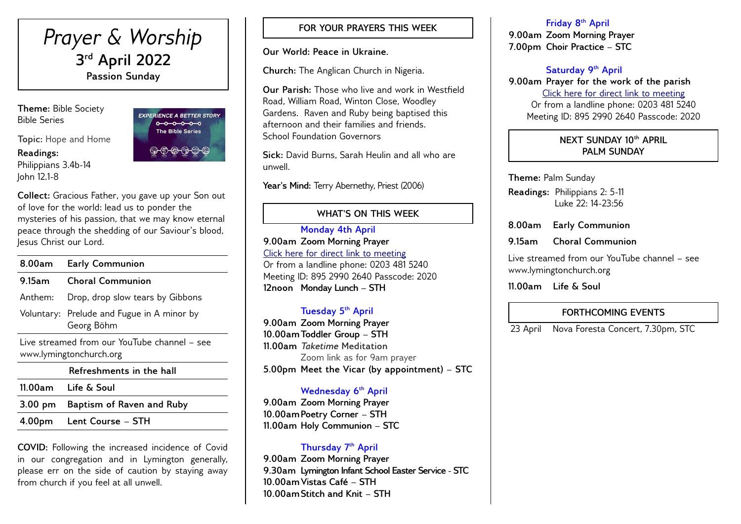# *Prayer & Worship* **3 rd April 2022**

**Passion Sunday**

**Theme:** Bible Society Bible Series

**Topic:** Hope and Home

**Readings:** Philippians 3.4b-14 John 12.1-8



**Collect:** Gracious Father, you gave up your Son out of love for the world: lead us to ponder the mysteries of his passion, that we may know eternal peace through the shedding of our Saviour's blood, Jesus Christ our Lord.

| 8.00am                                                                  | <b>Early Communion</b>                                   |
|-------------------------------------------------------------------------|----------------------------------------------------------|
| $9.15$ am                                                               | <b>Choral Communion</b>                                  |
| Anthem:                                                                 | Drop, drop slow tears by Gibbons                         |
|                                                                         | Voluntary: Prelude and Fugue in A minor by<br>Georg Böhm |
| Live streamed from our YouTube channel - see<br>www.lymingtonchurch.org |                                                          |
| Refreshments in the hall                                                |                                                          |
|                                                                         | 11.00am Life & Soul                                      |
|                                                                         |                                                          |

**3.00 pm Baptism of Raven and Ruby**

**4.00pm Lent Course – STH** 

**COVID:** Following the increased incidence of Covid in our congregation and in Lymington generally, please err on the side of caution by staying away from church if you feel at all unwell.

## **FOR YOUR PRAYERS THIS WEEK**

**Our World: Peace in Ukraine.**

**Church:** The Anglican Church in Nigeria.

**Our Parish:** Those who live and work in Westfield Road, William Road, Winton Close, Woodley Gardens. Raven and Ruby being baptised this afternoon and their families and friends. School Foundation Governors

**Sick:** David Burns, Sarah Heulin and all who are unwell.

Year's Mind: Terry Abernethy, Priest (2006)

## **WHAT'S ON THIS WEEK**

**Monday 4th April 9.00am Zoom Morning Prayer** [Click here for direct link to meeting](https://us02web.zoom.us/j/89529902640?pwd=QVQxTGxjODdwV3ROT1gxM2NWUjN0dz09) Or from a landline phone: 0203 481 5240 Meeting ID: 895 2990 2640 Passcode: 2020 **12noon Monday Lunch – STH** 

#### **Tuesday 5 th April**

**9.00am Zoom Morning Prayer 10.00amToddler Group – STH 11.00am** *Taketime* **Meditation**  Zoom link as for 9am prayer **5.00pm Meet the Vicar (by appointment) – STC**

#### **Wednesday 6th April**

**9.00am Zoom Morning Prayer 10.00amPoetry Corner – STH 11.00am Holy Communion – STC** 

## **Thursday 7th April**

**9.00am Zoom Morning Prayer 9.30am Lymington Infant School Easter Service - STC 10.00amVistas Café – STH 10.00amStitch and Knit – STH** 

#### **Friday 8th April**

**9.00am Zoom Morning Prayer 7.00pm Choir Practice – STC** 

## **Saturday 9 th April**

**9.00am Prayer for the work of the parish** [Click here for direct link to meeting](https://us02web.zoom.us/j/89529902640?pwd=QVQxTGxjODdwV3ROT1gxM2NWUjN0dz09) Or from a landline phone: 0203 481 5240 Meeting ID: 895 2990 2640 Passcode: 2020

### **NEXT SUNDAY 10th APRIL PALM SUNDAY**

**Theme:** Palm Sunday

**Readings:** Philippians 2: 5-11 Luke 22: 14-23:56

**8.00am Early Communion**

**9.15am Choral Communion** 

Live streamed from our YouTube channel – see www.lymingtonchurch.org

**11.00am Life & Soul** 

## **FORTHCOMING EVENTS**

23 April Nova Foresta Concert, 7.30pm, STC